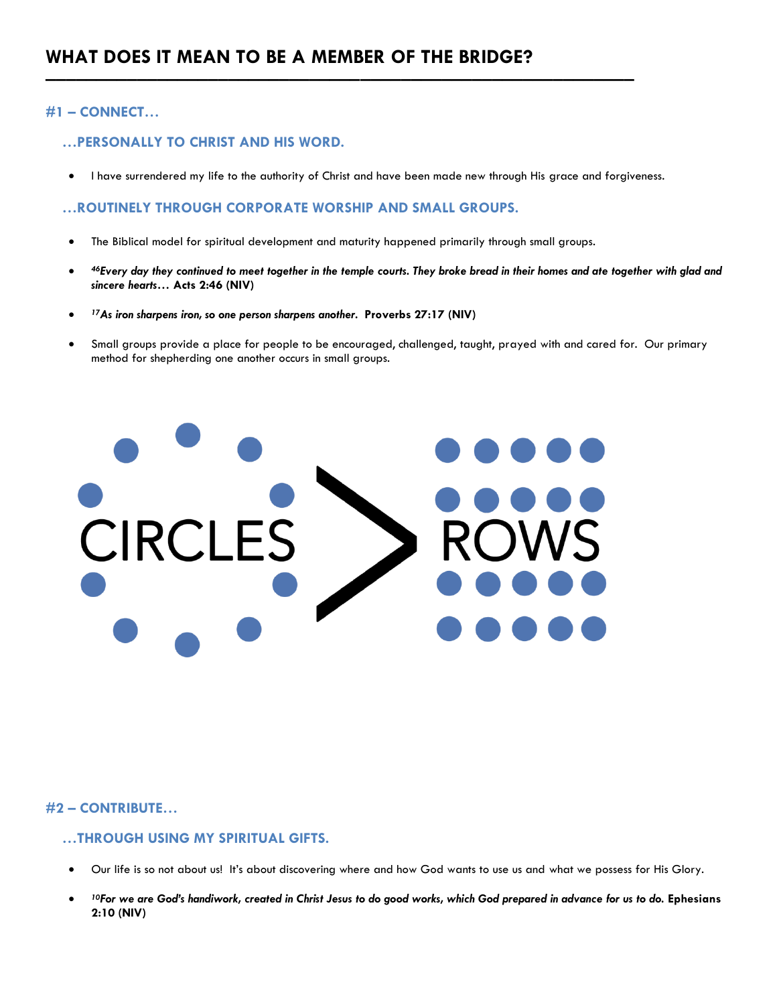## **#1 – CONNECT…**

## **…PERSONALLY TO CHRIST AND HIS WORD.**

• I have surrendered my life to the authority of Christ and have been made new through His grace and forgiveness.

## **…ROUTINELY THROUGH CORPORATE WORSHIP AND SMALL GROUPS.**

• The Biblical model for spiritual development and maturity happened primarily through small groups.

––––––––––––––––––––––––––––––––––––––––––––––––––––––––––

- *<sup>46</sup>Every day they continued to meet together in the temple courts. They broke bread in their homes and ate together with glad and sincere hearts…* **Acts 2:46 (NIV)**
- *<sup>17</sup>As iron sharpens iron, so one person sharpens another.* **Proverbs 27:17 (NIV)**
- Small groups provide a place for people to be encouraged, challenged, taught, prayed with and cared for. Our primary method for shepherding one another occurs in small groups.



#### **#2 – CONTRIBUTE…**

# **…THROUGH USING MY SPIRITUAL GIFTS.**

- Our life is so not about us! It's about discovering where and how God wants to use us and what we possess for His Glory.
- *<sup>10</sup>For we are God's handiwork, created in Christ Jesus to do good works, which God prepared in advance for us to do.* **Ephesians 2:10 (NIV)**